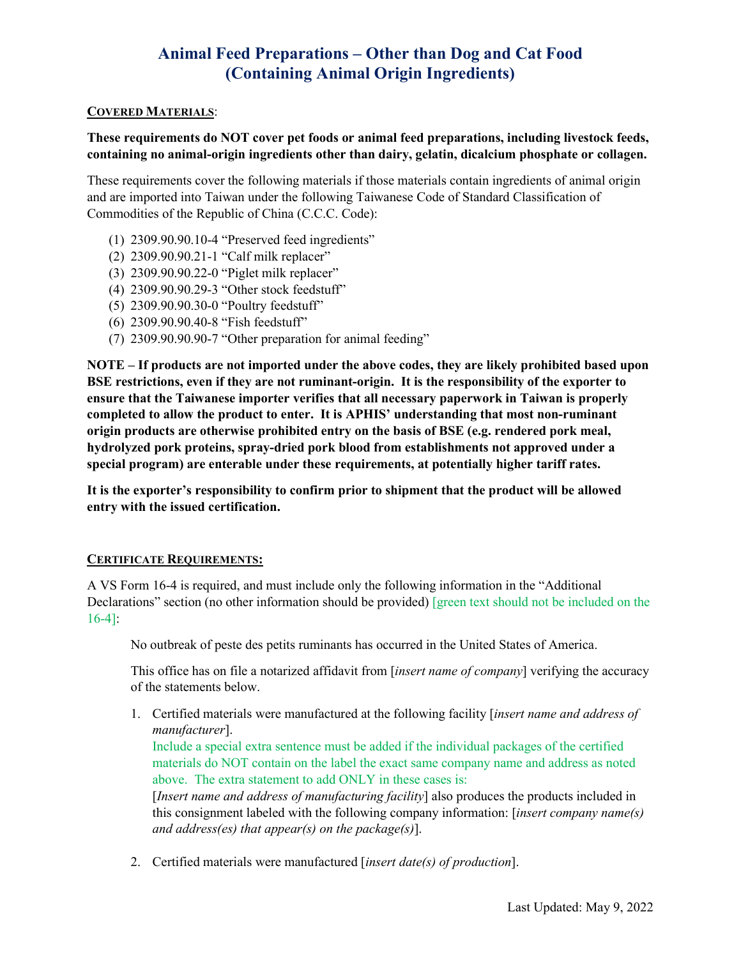# **Animal Feed Preparations – Other than Dog and Cat Food (Containing Animal Origin Ingredients)**

#### **COVERED MATERIALS**:

### **containing no animal-origin ingredients other than dairy, gelatin, dicalcium phosphate or collagen. These requirements do NOT cover pet foods or animal feed preparations, including livestock feeds,**

 These requirements cover the following materials if those materials contain ingredients of animal origin and are imported into Taiwan under the following Taiwanese Code of Standard Classification of Commodities of the Republic of China (C.C.C. Code):

- (1) 2309.90.90.10-4 "Preserved feed ingredients"
- (2) 2309.90.90.21-1 "Calf milk replacer"
- (3) 2309.90.90.22-0 "Piglet milk replacer"
- (4) 2309.90.90.29-3 "Other stock feedstuff"
- (5) 2309.90.90.30-0 "Poultry feedstuff"
- (6) 2309.90.90.40-8 "Fish feedstuff"
- (7) 2309.90.90.90-7 "Other preparation for animal feeding"

 **ensure that the Taiwanese importer verifies that all necessary paperwork in Taiwan is properly completed to allow the product to enter. It is APHIS' understanding that most non-ruminant special program) are enterable under these requirements, at potentially higher tariff rates. NOTE – If products are not imported under the above codes, they are likely prohibited based upon BSE restrictions, even if they are not ruminant-origin. It is the responsibility of the exporter to origin products are otherwise prohibited entry on the basis of BSE (e.g. rendered pork meal, hydrolyzed pork proteins, spray-dried pork blood from establishments not approved under a** 

entry with the issued certification. **It is the exporter's responsibility to confirm prior to shipment that the product will be allowed** 

#### **CERTIFICATE REQUIREMENTS:**

 A VS Form 16-4 is required, and must include only the following information in the "Additional Declarations" section (no other information should be provided) [green text should not be included on the 16-4]:

No outbreak of peste des petits ruminants has occurred in the United States of America.

This office has on file a notarized affidavit from [*insert name of company*] verifying the accuracy of the statements below.

1. Certified materials were manufactured at the following facility [*insert name and address of manufacturer*].

 materials do NOT contain on the label the exact same company name and address as noted Include a special extra sentence must be added if the individual packages of the certified above. The extra statement to add ONLY in these cases is:

 *and address(es) that appear(s) on the package(s)*]. [*Insert name and address of manufacturing facility*] also produces the products included in this consignment labeled with the following company information: [*insert company name(s)* 

2. Certified materials were manufactured [*insert date(s) of production*].